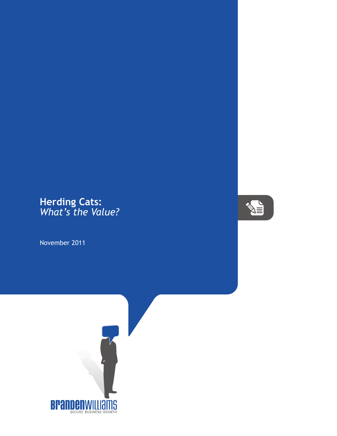## **Herding Cats:** *What's the Value?*

November 2011



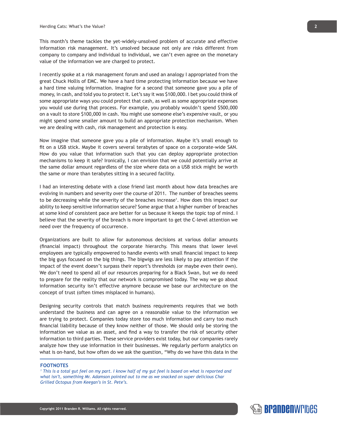This month's theme tackles the yet-widely-unsolved problem of accurate and effective information risk management. It's unsolved because not only are risks different from company to company and individual to individual, we can't even agree on the monetary value of the information we are charged to protect.

I recently spoke at a risk management forum and used an analogy I appropriated from the great Chuck Hollis of EMC. We have a hard time protecting information because we have a hard time valuing information. Imagine for a second that someone gave you a pile of money, in cash, and told you to protect it. Let's say it was \$100,000. I bet you could think of some appropriate ways you could protect that cash, as well as some appropriate expenses you would use during that process. For example, you probably wouldn't spend \$500,000 on a vault to store \$100,000 in cash. You might use someone else's expensive vault, or you might spend some smaller amount to build an appropriate protection mechanism. When we are dealing with cash, risk management and protection is easy.

Now imagine that someone gave you a pile of information. Maybe it's small enough to fit on a USB stick. Maybe it covers several terabytes of space on a corporate-wide SAN. How do you value that information such that you can deploy appropriate protection mechanisms to keep it safe? Ironically, I can envision that we could potentially arrive at the same dollar amount regardless of the size where data on a USB stick might be worth the same or more than terabytes sitting in a secured facility.

I had an interesting debate with a close friend last month about how data breaches are evolving in numbers and severity over the course of 2011. The number of breaches seems to be decreasing while the severity of the breaches increase<sup>1</sup>. How does this impact our ability to keep sensitive information secure? Some argue that a higher number of breaches at some kind of consistent pace are better for us because it keeps the topic top of mind. I believe that the severity of the breach is more important to get the C-level attention we need over the frequency of occurrence.

Organizations are built to allow for autonomous decisions at various dollar amounts (financial impact) throughout the corporate hierarchy. This means that lower level employees are typically empowered to handle events with small financial impact to keep the big guys focused on the big things. The bigwigs are less likely to pay attention if the impact of the event doesn't surpass their report's thresholds (or maybe even their own). We don't need to spend all of our resources preparing for a Black Swan, but we do need to prepare for the reality that our network is compromised today. The way we go about information security isn't effective anymore because we base our architecture on the concept of trust (often times misplaced in humans).

Designing security controls that match business requirements requires that we both understand the business and can agree on a reasonable value to the information we are trying to protect. Companies today store too much information and carry too much financial liability because of they know neither of those. We should only be storing the information we value as an asset, and find a way to transfer the risk of security other information to third parties. These service providers exist today, but our companies rarely analyze how they use information in their businesses. We regularly perform analytics on what is on-hand, but how often do we ask the question, "Why do we have this data in the

## **FOOTNOTES**

*1 This is a total gut feel on my part. I know half of my gut feel is based on what is reported and what isn't, something Mr. Adamson pointed out to me as we snacked on super delicious Char Grilled Octopus from Keegan's in St. Pete's.*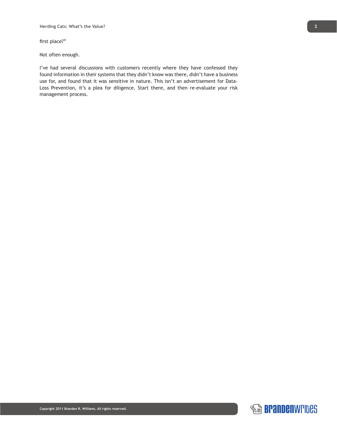first place?"

Not often enough.

I've had several discussions with customers recently where they have confessed they found information in their systems that they didn't know was there, didn't have a business use for, and found that it was sensitive in nature. This isn't an advertisement for Data-Loss Prevention, it's a plea for diligence. Start there, and then re-evaluate your risk management process.